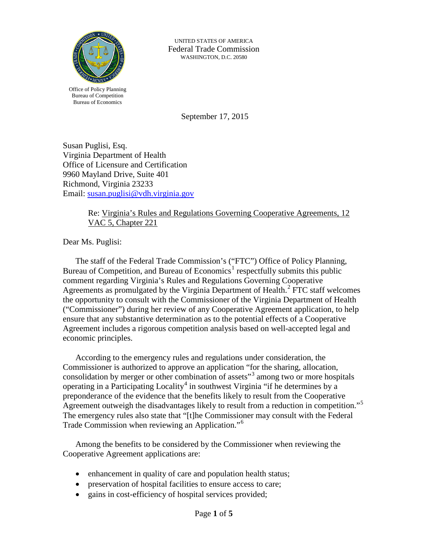

UNITED STATES OF AMERICA Federal Trade Commission WASHINGTON, D.C. 20580

Office of Policy Planning Bureau of Competition Bureau of Economics

September 17, 2015

Susan Puglisi, Esq. Virginia Department of Health Office of Licensure and Certification 9960 Mayland Drive, Suite 401 Richmond, Virginia 23233 Email: [susan.puglisi@vdh.virginia.gov](mailto:susan.puglisi@vdh.virginia.gov)

## Re: Virginia's Rules and Regulations Governing Cooperative Agreements, 12 VAC 5, Chapter 221

Dear Ms. Puglisi:

The staff of the Federal Trade Commission's ("FTC") Office of Policy Planning, Bureau of Competition, and Bureau of Economics<sup>[1](#page-3-0)</sup> respectfully submits this public comment regarding Virginia's Rules and Regulations Governing Cooperative Agreements as promulgated by the Virginia Department of Health.<sup>[2](#page-3-1)</sup> FTC staff welcomes the opportunity to consult with the Commissioner of the Virginia Department of Health ("Commissioner") during her review of any Cooperative Agreement application, to help ensure that any substantive determination as to the potential effects of a Cooperative Agreement includes a rigorous competition analysis based on well-accepted legal and economic principles.

According to the emergency rules and regulations under consideration, the Commissioner is authorized to approve an application "for the sharing, allocation, consolidation by merger or other combination of assets"[3](#page-3-2) among two or more hospitals operating in a Participating Locality<sup>[4](#page-3-3)</sup> in southwest Virginia "if he determines by a preponderance of the evidence that the benefits likely to result from the Cooperative Agreement outweigh the disadvantages likely to result from a reduction in competition."<sup>[5](#page-3-4)</sup> The emergency rules also state that "[t]he Commissioner may consult with the Federal Trade Commission when reviewing an Application."<sup>[6](#page-3-5)</sup>

Among the benefits to be considered by the Commissioner when reviewing the Cooperative Agreement applications are:

- enhancement in quality of care and population health status;
- preservation of hospital facilities to ensure access to care;
- gains in cost-efficiency of hospital services provided;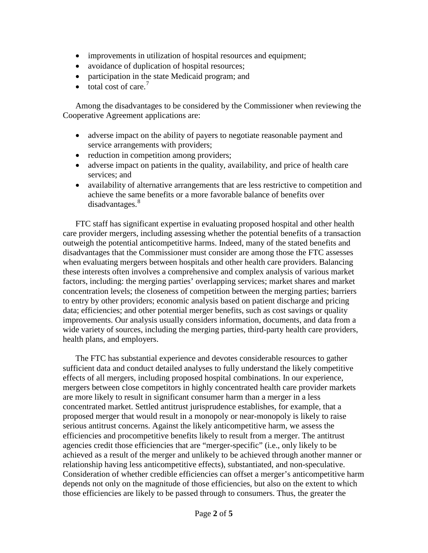- improvements in utilization of hospital resources and equipment;
- avoidance of duplication of hospital resources;
- participation in the state Medicaid program; and
- total cost of care.<sup>[7](#page-4-0)</sup>

Among the disadvantages to be considered by the Commissioner when reviewing the Cooperative Agreement applications are:

- adverse impact on the ability of payers to negotiate reasonable payment and service arrangements with providers;
- reduction in competition among providers;
- adverse impact on patients in the quality, availability, and price of health care services; and
- availability of alternative arrangements that are less restrictive to competition and achieve the same benefits or a more favorable balance of benefits over disadvantages.<sup>[8](#page-4-1)</sup>

FTC staff has significant expertise in evaluating proposed hospital and other health care provider mergers, including assessing whether the potential benefits of a transaction outweigh the potential anticompetitive harms. Indeed, many of the stated benefits and disadvantages that the Commissioner must consider are among those the FTC assesses when evaluating mergers between hospitals and other health care providers. Balancing these interests often involves a comprehensive and complex analysis of various market factors, including: the merging parties' overlapping services; market shares and market concentration levels; the closeness of competition between the merging parties; barriers to entry by other providers; economic analysis based on patient discharge and pricing data; efficiencies; and other potential merger benefits, such as cost savings or quality improvements. Our analysis usually considers information, documents, and data from a wide variety of sources, including the merging parties, third-party health care providers, health plans, and employers.

The FTC has substantial experience and devotes considerable resources to gather sufficient data and conduct detailed analyses to fully understand the likely competitive effects of all mergers, including proposed hospital combinations. In our experience, mergers between close competitors in highly concentrated health care provider markets are more likely to result in significant consumer harm than a merger in a less concentrated market. Settled antitrust jurisprudence establishes, for example, that a proposed merger that would result in a monopoly or near-monopoly is likely to raise serious antitrust concerns. Against the likely anticompetitive harm, we assess the efficiencies and procompetitive benefits likely to result from a merger. The antitrust agencies credit those efficiencies that are "merger-specific" (i.e., only likely to be achieved as a result of the merger and unlikely to be achieved through another manner or relationship having less anticompetitive effects), substantiated, and non-speculative. Consideration of whether credible efficiencies can offset a merger's anticompetitive harm depends not only on the magnitude of those efficiencies, but also on the extent to which those efficiencies are likely to be passed through to consumers. Thus, the greater the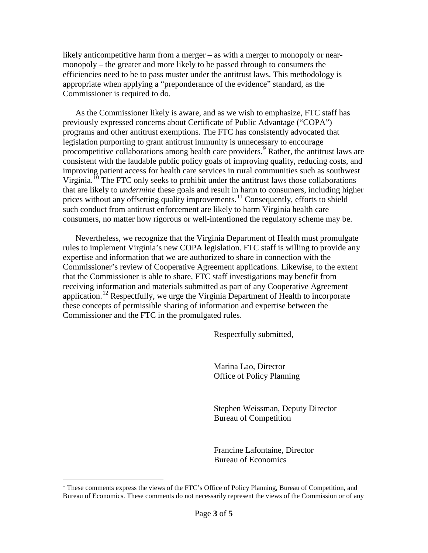likely anticompetitive harm from a merger – as with a merger to monopoly or nearmonopoly – the greater and more likely to be passed through to consumers the efficiencies need to be to pass muster under the antitrust laws. This methodology is appropriate when applying a "preponderance of the evidence" standard, as the Commissioner is required to do.

As the Commissioner likely is aware, and as we wish to emphasize, FTC staff has previously expressed concerns about Certificate of Public Advantage ("COPA") programs and other antitrust exemptions. The FTC has consistently advocated that legislation purporting to grant antitrust immunity is unnecessary to encourage procompetitive collaborations among health care providers.<sup>[9](#page-4-2)</sup> Rather, the antitrust laws are consistent with the laudable public policy goals of improving quality, reducing costs, and improving patient access for health care services in rural communities such as southwest Virginia.<sup>[10](#page-4-3)</sup> The FTC only seeks to prohibit under the antitrust laws those collaborations that are likely to *undermine* these goals and result in harm to consumers, including higher prices without any offsetting quality improvements.<sup>[11](#page-4-4)</sup> Consequently, efforts to shield such conduct from antitrust enforcement are likely to harm Virginia health care consumers, no matter how rigorous or well-intentioned the regulatory scheme may be.

Nevertheless, we recognize that the Virginia Department of Health must promulgate rules to implement Virginia's new COPA legislation. FTC staff is willing to provide any expertise and information that we are authorized to share in connection with the Commissioner's review of Cooperative Agreement applications. Likewise, to the extent that the Commissioner is able to share, FTC staff investigations may benefit from receiving information and materials submitted as part of any Cooperative Agreement application.<sup>[12](#page-4-5)</sup> Respectfully, we urge the Virginia Department of Health to incorporate these concepts of permissible sharing of information and expertise between the Commissioner and the FTC in the promulgated rules.

Respectfully submitted,

Marina Lao, Director Office of Policy Planning

Stephen Weissman, Deputy Director Bureau of Competition

Francine Lafontaine, Director Bureau of Economics

<sup>&</sup>lt;sup>1</sup> These comments express the views of the FTC's Office of Policy Planning, Bureau of Competition, and Bureau of Economics. These comments do not necessarily represent the views of the Commission or of any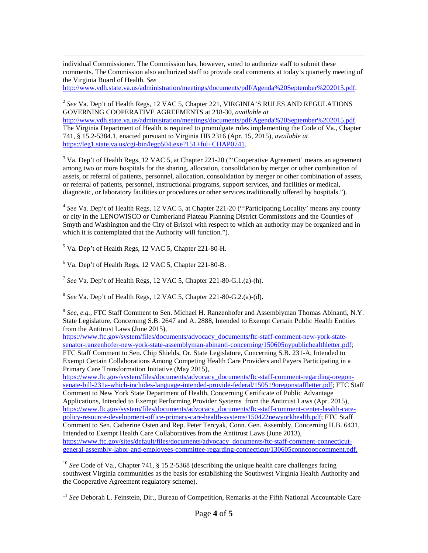individual Commissioner. The Commission has, however, voted to authorize staff to submit these comments. The Commission also authorized staff to provide oral comments at today's quarterly meeting of the Virginia Board of Health. *See*

[http://www.vdh.state.va.us/administration/meetings/documents/pdf/Agenda%20September%202015.pdf.](http://www.vdh.state.va.us/administration/meetings/documents/pdf/Agenda%20September%202015.pdf)

<span id="page-3-1"></span><sup>2</sup> *See* Va. Dep't of Health Regs, 12 VAC 5, Chapter 221, VIRGINIA'S RULES AND REGULATIONS GOVERNING COOPERATIVE AGREEMENTS at 218-30, *available at* [http://www.vdh.state.va.us/administration/meetings/documents/pdf/Agenda%20September%202015.pdf.](http://www.vdh.state.va.us/administration/meetings/documents/pdf/Agenda%20September%202015.pdf) The Virginia Department of Health is required to promulgate rules implementing the Code of Va., Chapter 741, § 15.2-5384.1, enacted pursuant to Virginia HB 2316 (Apr. 15, 2015), *available at* [https://leg1.state.va.us/cgi-bin/legp504.exe?151+ful+CHAP0741.](https://leg1.state.va.us/cgi-bin/legp504.exe?151+ful+CHAP0741)

<span id="page-3-2"></span><sup>3</sup> Va. Dep't of Health Regs, 12 VAC 5, at Chapter 221-20 ("Cooperative Agreement' means an agreement among two or more hospitals for the sharing, allocation, consolidation by merger or other combination of assets, or referral of patients, personnel, allocation, consolidation by merger or other combination of assets, or referral of patients, personnel, instructional programs, support services, and facilities or medical, diagnostic, or laboratory facilities or procedures or other services traditionally offered by hospitals.").

<span id="page-3-3"></span><sup>4</sup> *See* Va. Dep't of Health Regs, 12 VAC 5, at Chapter 221-20 ("'Participating Locality' means any county or city in the LENOWISCO or Cumberland Plateau Planning District Commissions and the Counties of Smyth and Washington and the City of Bristol with respect to which an authority may be organized and in which it is contemplated that the Authority will function.").

<span id="page-3-4"></span><sup>5</sup> Va. Dep't of Health Regs, 12 VAC 5, Chapter 221-80-H.

<span id="page-3-5"></span> $6$  Va. Dep't of Health Regs, 12 VAC 5, Chapter 221-80-B.

 $7$  *See* Va. Dep't of Health Regs, 12 VAC 5, Chapter 221-80-G.1.(a)-(h).

<sup>8</sup> *See* Va. Dep't of Health Regs, 12 VAC 5, Chapter 221-80-G.2.(a)-(d).

<sup>9</sup> *See, e.g.,* FTC Staff Comment to Sen. Michael H. Ranzenhofer and Assemblyman Thomas Abinanti, N.Y. State Legislature, Concerning S.B. 2647 and A. 2888, Intended to Exempt Certain Public Health Entities from the Antitrust Laws (June 2015),

[https://www.ftc.gov/system/files/documents/advocacy\\_documents/ftc-staff-comment-new-york-state](https://www.ftc.gov/system/files/documents/advocacy_documents/ftc-staff-comment-new-york-state-senator-ranzenhofer-new-york-state-assemblyman-abinanti-concerning/150605nypublichealthletter.pdf)[senator-ranzenhofer-new-york-state-assemblyman-abinanti-concerning/150605nypublichealthletter.pdf;](https://www.ftc.gov/system/files/documents/advocacy_documents/ftc-staff-comment-new-york-state-senator-ranzenhofer-new-york-state-assemblyman-abinanti-concerning/150605nypublichealthletter.pdf) FTC Staff Comment to Sen. Chip Shields, Or. State Legislature, Concerning S.B. 231-A, Intended to Exempt Certain Collaborations Among Competing Health Care Providers and Payers Participating in a Primary Care Transformation Initiative (May 2015),

[https://www.ftc.gov/system/files/documents/advocacy\\_documents/ftc-staff-comment-regarding-oregon](https://www.ftc.gov/system/files/documents/advocacy_documents/ftc-staff-comment-regarding-oregon-senate-bill-231a-which-includes-language-intended-provide-federal/150519oregonstaffletter.pdf)[senate-bill-231a-which-includes-language-intended-provide-federal/150519oregonstaffletter.pdf;](https://www.ftc.gov/system/files/documents/advocacy_documents/ftc-staff-comment-regarding-oregon-senate-bill-231a-which-includes-language-intended-provide-federal/150519oregonstaffletter.pdf) FTC Staff Comment to New York State Department of Health, Concerning Certificate of Public Advantage Applications, Intended to Exempt Performing Provider Systems from the Antitrust Laws (Apr. 2015), [https://www.ftc.gov/system/files/documents/advocacy\\_documents/ftc-staff-comment-center-health-care](https://www.ftc.gov/system/files/documents/advocacy_documents/ftc-staff-comment-center-health-care-policy-resource-development-office-primary-care-health-systems/150422newyorkhealth.pdf)[policy-resource-development-office-primary-care-health-systems/150422newyorkhealth.pdf;](https://www.ftc.gov/system/files/documents/advocacy_documents/ftc-staff-comment-center-health-care-policy-resource-development-office-primary-care-health-systems/150422newyorkhealth.pdf) FTC Staff Comment to Sen. Catherine Osten and Rep. Peter Tercyak, Conn. Gen. Assembly, Concerning H.B. 6431, Intended to Exempt Health Care Collaboratives from the Antitrust Laws (June 2013), [https://www.ftc.gov/sites/default/files/documents/advocacy\\_documents/ftc-staff-comment-connecticut](https://www.ftc.gov/sites/default/files/documents/advocacy_documents/ftc-staff-comment-connecticut-general-assembly-labor-and-employees-committee-regarding-connecticut/130605conncoopcomment.pdf)[general-assembly-labor-and-employees-committee-regarding-connecticut/130605conncoopcomment.pdf.](https://www.ftc.gov/sites/default/files/documents/advocacy_documents/ftc-staff-comment-connecticut-general-assembly-labor-and-employees-committee-regarding-connecticut/130605conncoopcomment.pdf)

<sup>10</sup> *See* Code of Va., Chapter 741, § 15.2-5368 (describing the unique health care challenges facing southwest Virginia communities as the basis for establishing the Southwest Virginia Health Authority and the Cooperative Agreement regulatory scheme).

<span id="page-3-0"></span><sup>11</sup> See Deborah L. Feinstein, Dir., Bureau of Competition, Remarks at the Fifth National Accountable Care